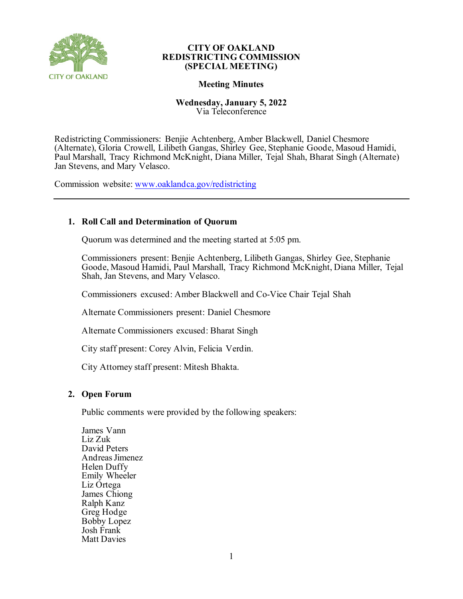

# **Meeting Minutes**

**Wednesday, January 5, 2022**  Via Teleconference

Redistricting Commissioners: Benjie Achtenberg, Amber Blackwell, Daniel Chesmore (Alternate), Gloria Crowell, Lilibeth Gangas, Shirley Gee, Stephanie Goode, Masoud Hamidi, Paul Marshall, Tracy Richmond McKnight, Diana Miller, Tejal Shah, Bharat Singh (Alternate) Jan Stevens, and Mary Velasco.

Commission website: [www.oaklandca.gov/redistricting](https://www.oaklandca.gov/boards-commissions/redistricting-commission/meetings) 

# **1. Roll Call and Determination of Quorum**

Quorum was determined and the meeting started at 5:05 pm.

Commissioners present: Benjie Achtenberg, Lilibeth Gangas, Shirley Gee, Stephanie Goode, Masoud Hamidi, Paul Marshall, Tracy Richmond McKnight, Diana Miller, Tejal Shah, Jan Stevens, and Mary Velasco.

Commissioners excused: Amber Blackwell and Co-Vice Chair Tejal Shah

Alternate Commissioners present: Daniel Chesmore

Alternate Commissioners excused: Bharat Singh

City staff present: Corey Alvin, Felicia Verdin.

City Attorney staff present: Mitesh Bhakta.

## **2. Open Forum**

Public comments were provided by the following speakers:

James Vann Liz Zuk David Peters Andreas Jimenez Helen Duffy Emily Wheeler Liz Ortega James Chiong Ralph Kanz Greg Hodge Bobby Lopez Josh Frank Matt Davies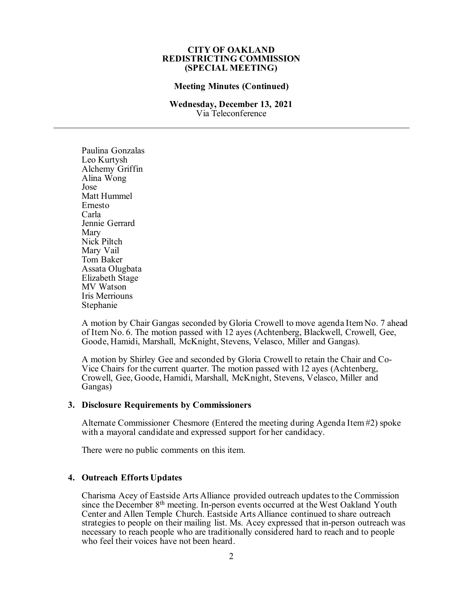## **Meeting Minutes (Continued)**

### **Wednesday, December 13, 2021** Via Teleconference

Paulina Gonzalas Leo Kurtysh Alchemy Griffin Alina Wong Jose Matt Hummel Ernesto Carla Jennie Gerrard Mary Nick Piltch Mary Vail Tom Baker Assata Olugbata Elizabeth Stage MV Watson Iris Merriouns Stephanie

A motion by Chair Gangas seconded by Gloria Crowell to move agenda Item No. 7 ahead of Item No. 6. The motion passed with 12 ayes (Achtenberg, Blackwell, Crowell, Gee, Goode, Hamidi, Marshall, McKnight, Stevens, Velasco, Miller and Gangas).

A motion by Shirley Gee and seconded by Gloria Crowell to retain the Chair and Co- Vice Chairs for the current quarter. The motion passed with 12 ayes (Achtenberg, Crowell, Gee, Goode, Hamidi, Marshall, McKnight, Stevens, Velasco, Miller and Gangas)

#### **3. Disclosure Requirements by Commissioners**

Alternate Commissioner Chesmore (Entered the meeting during Agenda Item #2) spoke with a mayoral candidate and expressed support for her candidacy.

There were no public comments on this item.

#### **4. Outreach Efforts Updates**

Charisma Acey of Eastside Arts Alliance provided outreach updates to the Commission since the December 8th meeting. In-person events occurred at the West Oakland Youth Center and Allen Temple Church. Eastside Arts Alliance continued to share outreach strategies to people on their mailing list. Ms. Acey expressed that in-person outreach was necessary to reach people who are traditionally considered hard to reach and to people who feel their voices have not been heard.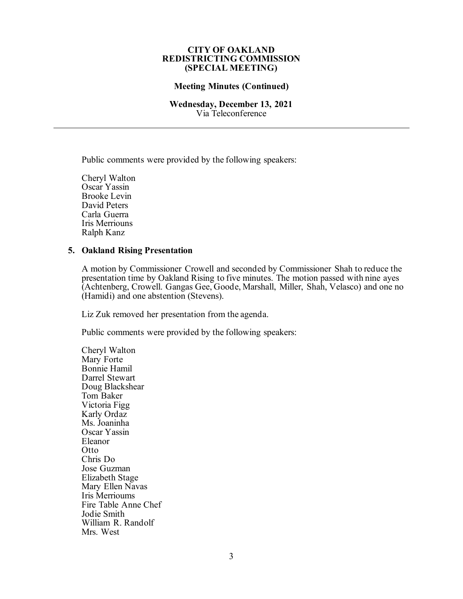## **Meeting Minutes (Continued)**

#### **Wednesday, December 13, 2021** Via Teleconference

Public comments were provided by the following speakers:

Cheryl Walton Oscar Yassin Brooke Levin David Peters Carla Guerra Iris Merriouns Ralph Kanz

## **5. Oakland Rising Presentation**

A motion by Commissioner Crowell and seconded by Commissioner Shah to reduce the presentation time by Oakland Rising to five minutes. The motion passed with nine ayes (Achtenberg, Crowell. Gangas Gee, Goode, Marshall, Miller, Shah, Velasco) and one no (Hamidi) and one abstention (Stevens).

Liz Zuk removed her presentation from the agenda.

Public comments were provided by the following speakers:

Cheryl Walton Mary Forte Bonnie Hamil Darrel Stewart Doug Blackshear Tom Baker Victoria Figg Karly Ordaz Ms. Joaninha Oscar Yassin Eleanor Otto Chris Do Jose Guzman Elizabeth Stage Mary Ellen Navas Iris Merrioums Fire Table Anne Chef Jodie Smith William R. Randolf Mrs. West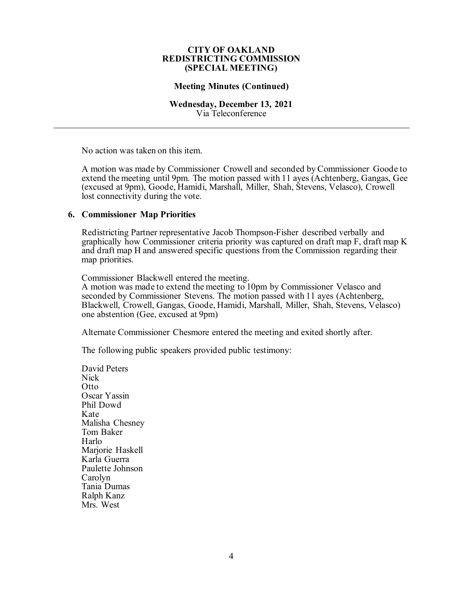## **Meeting Minutes (Continued)**

## **Wednesday, December 13, 2021** Via Teleconference

No action was taken on this item.

A motion was made by Commissioner Crowell and seconded by Commissioner Goode to extend the meeting until 9pm. The motion passed with 11 ayes (Achtenberg, Gangas, Gee (excused at 9pm), Goode, Hamidi, Marshall, Miller, Shah, Stevens, Velasco), Crowell lost connectivity during the vote.

## **6. Commissioner Map Priorities**

Redistricting Partner representative Jacob Thompson-Fisher described verbally and graphically how Commissioner criteria priority was captured on draft map F, draft map K and draft map H and answered specific questions from the Commission regarding their map priorities.

Commissioner Blackwell entered the meeting.

A motion was made to extend the meeting to 10pm by Commissioner Velasco and seconded by Commissioner Stevens. The motion passed with 11 ayes (Achtenberg, Blackwell, Crowell, Gangas, Goode, Hamidi, Marshall, Miller, Shah, Stevens, Velasco) one abstention (Gee, excused at 9pm)

Alternate Commissioner Chesmore entered the meeting and exited shortly after.

The following public speakers provided public testimony:

David Peters Nick Otto Oscar Yassin Phil Dowd Kate Malisha Chesney Tom Baker Harlo Mariorie Haskell Karla Guerra Paulette Johnson Carolyn Tania Dumas Ralph Kanz Mrs. West